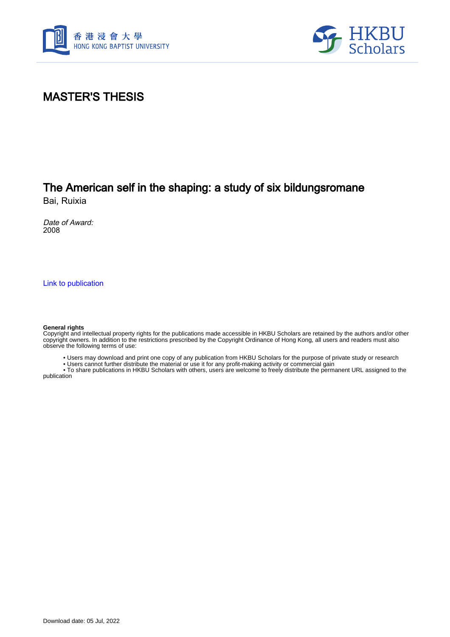



## MASTER'S THESIS

## The American self in the shaping: a study of six bildungsromane

Bai, Ruixia

Date of Award: 2008

[Link to publication](https://scholars.hkbu.edu.hk/en/studentTheses/a0ae31e9-1c39-46ea-9c70-8c9ec863bb51)

#### **General rights**

Copyright and intellectual property rights for the publications made accessible in HKBU Scholars are retained by the authors and/or other copyright owners. In addition to the restrictions prescribed by the Copyright Ordinance of Hong Kong, all users and readers must also observe the following terms of use:

• Users may download and print one copy of any publication from HKBU Scholars for the purpose of private study or research

• Users cannot further distribute the material or use it for any profit-making activity or commercial gain

 • To share publications in HKBU Scholars with others, users are welcome to freely distribute the permanent URL assigned to the publication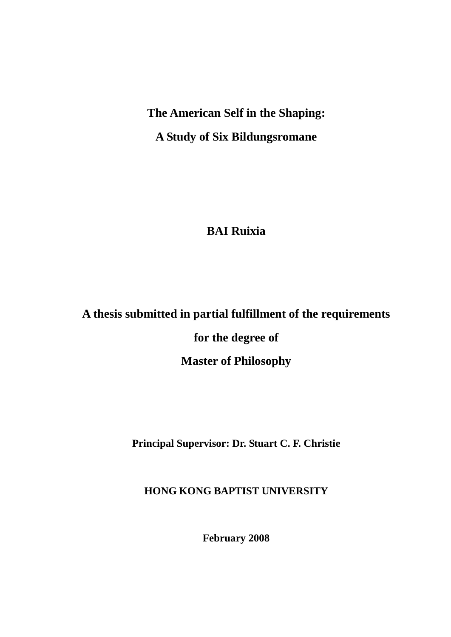# **The American Self in the Shaping: A Study of Six Bildungsromane**

**BAI Ruixia** 

## **A thesis submitted in partial fulfillment of the requirements**

**for the degree of** 

**Master of Philosophy**

**Principal Supervisor: Dr. Stuart C. F. Christie**

**HONG KONG BAPTIST UNIVERSITY**

**February 2008**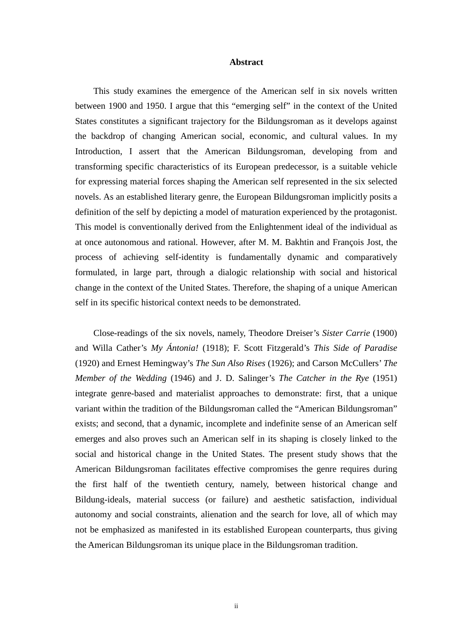### **Abstract**

This study examines the emergence of the American self in six novels written between 1900 and 1950. I argue that this "emerging self" in the context of the United States constitutes a significant trajectory for the Bildungsroman as it develops against the backdrop of changing American social, economic, and cultural values. In my Introduction, I assert that the American Bildungsroman, developing from and transforming specific characteristics of its European predecessor, is a suitable vehicle for expressing material forces shaping the American self represented in the six selected novels. As an established literary genre, the European Bildungsroman implicitly posits a definition of the self by depicting a model of maturation experienced by the protagonist. This model is conventionally derived from the Enlightenment ideal of the individual as at once autonomous and rational. However, after M. M. Bakhtin and François Jost, the process of achieving self-identity is fundamentally dynamic and comparatively formulated, in large part, through a dialogic relationship with social and historical change in the context of the United States. Therefore, the shaping of a unique American self in its specific historical context needs to be demonstrated.

Close-readings of the six novels, namely, Theodore Dreiser's *Sister Carrie* (1900) and Willa Cather's *My Ántonia!* (1918); F. Scott Fitzgerald's *This Side of Paradise* (1920) and Ernest Hemingway's *The Sun Also Rises* (1926); and Carson McCullers' *The Member of the Wedding* (1946) and J. D. Salinger's *The Catcher in the Rye* (1951) integrate genre-based and materialist approaches to demonstrate: first, that a unique variant within the tradition of the Bildungsroman called the "American Bildungsroman" exists; and second, that a dynamic, incomplete and indefinite sense of an American self emerges and also proves such an American self in its shaping is closely linked to the social and historical change in the United States. The present study shows that the American Bildungsroman facilitates effective compromises the genre requires during the first half of the twentieth century, namely, between historical change and Bildung-ideals, material success (or failure) and aesthetic satisfaction, individual autonomy and social constraints, alienation and the search for love, all of which may not be emphasized as manifested in its established European counterparts, thus giving the American Bildungsroman its unique place in the Bildungsroman tradition.